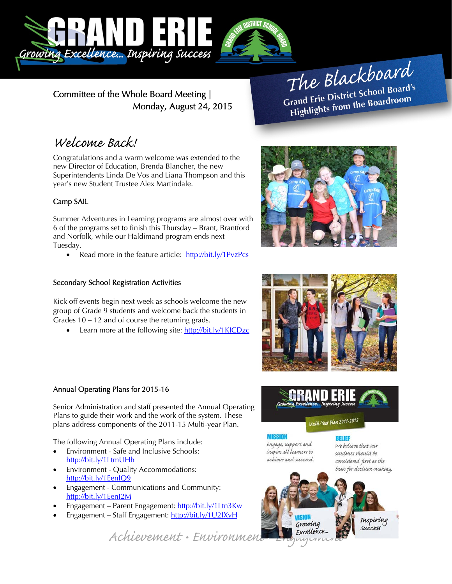

Committee of the Whole Board Meeting |

The Blackboard The Burnor<br>Grand Erie District School Board's<br>Little from the Boardroom rand Erie District School Board<br>Highlights from the Boardroom

# Welcome Back!

Congratulations and a warm welcome was extended to the new Director of Education, Brenda Blancher, the new Superintendents Linda De Vos and Liana Thompson and this year's new Student Trustee Alex Martindale.

Monday, August 24, 2015

# Camp SAIL

Summer Adventures in Learning programs are almost over with 6 of the programs set to finish this Thursday – Brant, Brantford and Norfolk, while our Haldimand program ends next Tuesday.

• Read more in the feature article: http://bit.ly/1PvzPcs

# Secondary School Registration Activities

Kick off events begin next week as schools welcome the new group of Grade 9 students and welcome back the students in Grades 10 – 12 and of course the returning grads.

Learn more at the following site: http://bit.ly/1KICDzc

# Annual Operating Plans for 2015-16

Senior Administration and staff presented the Annual Operating Plans to guide their work and the work of the system. These plans address components of the 2011-15 Multi-year Plan.

The following Annual Operating Plans include:

- Environment Safe and Inclusive Schools: http://bit.ly/1LtmUHh
- Environment Quality Accommodations: http://bit.ly/1EenIQ9
- Engagement Communications and Community: http://bit.ly/1EenI2M
- Engagement Parent Engagement: http://bit.ly/1Ltn3Kw
- Engagement Staff Engagement: http://bit.ly/1U2IXvH

Achievement • Environment Excellence.







**MISSIAN** Engage, support and inspire all learners to achieve and succeed.

**RELIEF** We believe that our students should be considered first as the